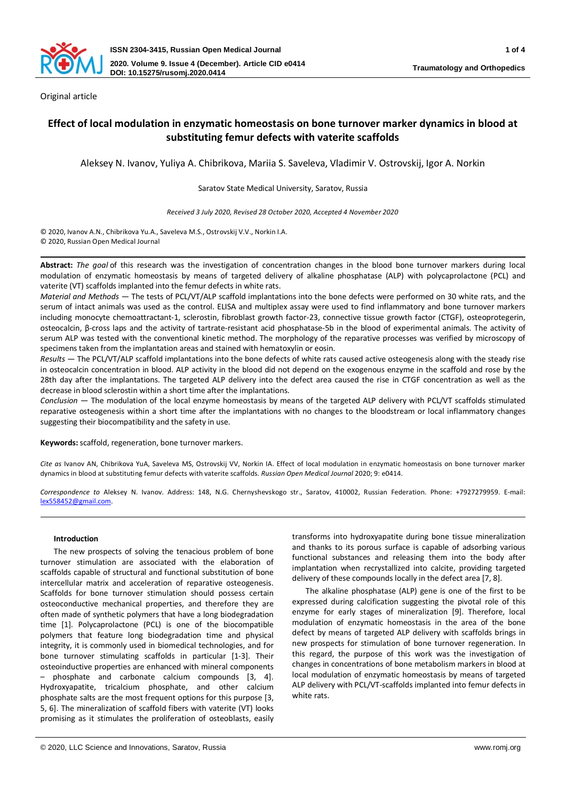

Original article

# **Effect of local modulation in enzymatic homeostasis on bone turnover marker dynamics in blood at substituting femur defects with vaterite scaffolds**

Aleksey N. Ivanov, Yuliya A. Chibrikova, Mariia S. Saveleva, Vladimir V. Ostrovskij, Igor A. Norkin

Saratov State Medical University, Saratov, Russia

*Received 3 July 2020, Revised 28 October 2020, Accepted 4 November 2020*

© 2020, Ivanov A.N., Chibrikova Yu.A., Saveleva M.S., Ostrovskij V.V., Norkin I.A. © 2020, Russian Open Medical Journal

**Abstract:** *The goal* of this research was the investigation of concentration changes in the blood bone turnover markers during local modulation of enzymatic homeostasis by means of targeted delivery of alkaline phosphatase (ALP) with polycaprolactone (PCL) and vaterite (VT) scaffolds implanted into the femur defects in white rats.

*Material and Methods* ― The tests of PCL/VT/ALP scaffold implantations into the bone defects were performed on 30 white rats, and the serum of intact animals was used as the control. ELISA and multiplex assay were used to find inflammatory and bone turnover markers including monocyte chemoattractant-1, sclerostin, fibroblast growth factor-23, connective tissue growth factor (CTGF), osteoprotegerin, osteocalcin, β-сross laps and the activity of tartrate-resistant acid phosphatase-5b in the blood of experimental animals. The activity of serum ALP was tested with the conventional kinetic method. The morphology of the reparative processes was verified by microscopy of specimens taken from the implantation areas and stained with hematoxylin or eosin.

*Results* ― The PCL/VT/ALP scaffold implantations into the bone defects of white rats caused active osteogenesis along with the steady rise in osteocalcin concentration in blood. ALP activity in the blood did not depend on the exogenous enzyme in the scaffold and rose by the 28th day after the implantations. The targeted ALP delivery into the defect area caused the rise in CTGF concentration as well as the decrease in blood sclerostin within a short time after the implantations.

*Conclusion* ― The modulation of the local enzyme homeostasis by means of the targeted ALP delivery with PCL/VT scaffolds stimulated reparative osteogenesis within a short time after the implantations with no changes to the bloodstream or local inflammatory changes suggesting their biocompatibility and the safety in use.

**Keywords:** scaffold, regeneration, bone turnover markers.

*Cite as* Ivanov AN, Chibrikova YuA, Saveleva MS, Ostrovskij VV, Norkin IA. Effect of local modulation in enzymatic homeostasis on bone turnover marker dynamics in blood at substituting femur defects with vaterite scaffolds. *Russian Open Medical Journal* 2020; 9: e0414.

*Correspondence to* Aleksey N. Ivanov. Address: 148, N.G. Chernyshevskogo str., Saratov, 410002, Russian Federation. Phone: +7927279959. E-mail: [lex558452@gmail.com.](mailto:lex558452@gmail.com) 

# **Introduction**

The new prospects of solving the tenacious problem of bone turnover stimulation are associated with the elaboration of scaffolds capable of structural and functional substitution of bone intercellular matrix and acceleration of reparative osteogenesis. Scaffolds for bone turnover stimulation should possess certain osteoconductive mechanical properties, and therefore they are often made of synthetic polymers that have a long biodegradation time [1]. Polycaprolactone (PCL) is one of the biocompatible polymers that feature long biodegradation time and physical integrity, it is commonly used in biomedical technologies, and for bone turnover stimulating scaffolds in particular [1-3]. Their osteoinductive properties are enhanced with mineral components – phosphate and carbonate calcium compounds [3, 4]. Hydroxyapatite, tricalcium phosphate, and other calcium phosphate salts are the most frequent options for this purpose [3, 5, 6]. The mineralization of scaffold fibers with vaterite (VT) looks promising as it stimulates the proliferation of osteoblasts, easily

transforms into hydroxyapatite during bone tissue mineralization and thanks to its porous surface is capable of adsorbing various functional substances and releasing them into the body after implantation when recrystallized into calcite, providing targeted delivery of these compounds locally in the defect area [7, 8].

The alkaline phosphatase (ALP) gene is one of the first to be expressed during calcification suggesting the pivotal role of this enzyme for early stages of mineralization [9]. Therefore, local modulation of enzymatic homeostasis in the area of the bone defect by means of targeted ALP delivery with scaffolds brings in new prospects for stimulation of bone turnover regeneration. In this regard, the purpose of this work was the investigation of changes in concentrations of bone metabolism markers in blood at local modulation of enzymatic homeostasis by means of targeted ALP delivery with PCL/VT-scaffolds implanted into femur defects in white rats.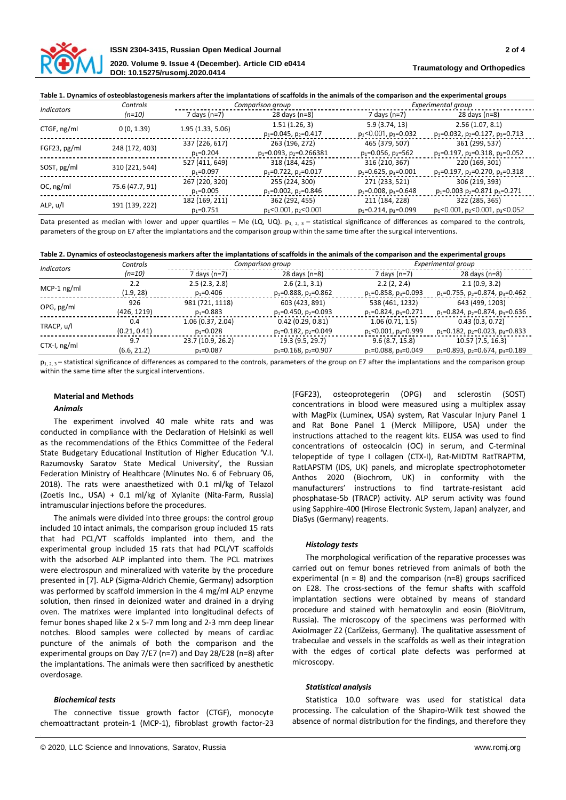

## **Table 1. Dynamics of osteoblastogenesis markers after the implantations of scaffolds in the animals of the comparison and the experimental groups**

| <b>Indicators</b> | Controls        | Comparison group  |                                  |                               | Experimental group                            |  |
|-------------------|-----------------|-------------------|----------------------------------|-------------------------------|-----------------------------------------------|--|
|                   | $(n=10)$        | 7 days (n=7)      | 28 days (n=8)                    | 7 days (n=7)                  | 28 days $(n=8)$                               |  |
| CTGF, ng/ml       | 0(0, 1.39)      | 1.95 (1.33, 5.06) | 1.51(1.26, 3)                    | 5.9(3.74, 13)                 | 2.56(1.07, 8.1)                               |  |
|                   |                 |                   | $p_1 = 0.045$ , $p_2 = 0.417$    | $p_1$ <0.001, $p_3$ =0.032    | $p_1 = 0.032$ , $p_2 = 0.127$ , $p_3 = 0.713$ |  |
| FGF23, pg/ml      | 248 (172, 403)  | 337 (226, 617)    | 263 (196, 272)                   | 465 (379, 507)                | 361 (299, 537)                                |  |
|                   |                 | $p_1 = 0.204$     | $p_1 = 0.093$ , $p_2 = 0.266381$ | $p_1 = 0.056$ , $p_3 = 562$   | $p_1 = 0.197$ , $p_2 = 0.318$ , $p_3 = 0.052$ |  |
| SOST, pg/ml       | 310 (221, 544)  | 527 (411, 649)    | 318 (184, 425)                   | 316 (210, 367)                | 220 (169, 301)                                |  |
|                   |                 | $p_1 = 0.097$     | $p_1 = 0.722$ , $p_2 = 0.017$    | $p_1 = 0.625$ , $p_3 = 0.001$ | $p_1 = 0.197$ , $p_2 = 0.270$ , $p_3 = 0.318$ |  |
| OC, ng/ml         | 75.6 (47.7, 91) | 267 (220, 320)    | 255 (224, 300)                   | 271 (233, 521)                | 306 (219, 393)                                |  |
|                   |                 | $p_1 = 0.005$     | $p_1 = 0.002$ , $p_2 = 0.846$    | $p_1 = 0.008$ , $p_3 = 0.648$ | $p_1 = 0.003$ $p_2 = 0.871$ $p_3 = 0.271$     |  |
| ALP, u/l          | 191 (139, 222)  | 182 (169, 211)    | 362 (292, 455)                   | 211 (184, 228)                | 322 (285, 365)                                |  |
|                   |                 | $p_1 = 0.751$     | $p_1 < 0.001$ , $p_2 < 0.001$    | $p_1 = 0.214$ , $p_3 = 0.099$ | $p_1$ <0.001, $p_2$ <0.001, $p_3$ <0.052      |  |

Data presented as median with lower and upper quartiles – Me (LQ, UQ).  $p_{1, 2, 3}$  – statistical significance of differences as compared to the controls, parameters of the group on E7 after the implantations and the comparison group within the same time after the surgical interventions.

|  | Table 2. Dynamics of osteoclastogenesis markers after the implantations of scaffolds in the animals of the comparison and the experimental groups |  |
|--|---------------------------------------------------------------------------------------------------------------------------------------------------|--|
|  |                                                                                                                                                   |  |

| <i><u><b>Indicators</b></u></i> | Controls     | Comparison group  |                               | Experimental group            |                                               |
|---------------------------------|--------------|-------------------|-------------------------------|-------------------------------|-----------------------------------------------|
|                                 | (n=10)       | 7 days (n=7)      | 28 days $(n=8)$               | 7 days (n=7)                  | $28$ days (n=8)                               |
| $MCP-1$ ng/ml                   | 2.2          | 2.5(2.3, 2.8)     | 2.6(2.1, 3.1)                 | 2.2(2, 2.4)                   | 2.1(0.9, 3.2)                                 |
|                                 | (1.9, 28)    | $p_1 = 0.406$     | $p_1 = 0.888$ , $p_2 = 0.862$ | $p_1 = 0.858$ , $p_3 = 0.093$ | $p_1 = 0.755$ , $p_2 = 0.874$ , $p_3 = 0.462$ |
| OPG, pg/ml                      | 926          | 981 (721, 1118)   | 603 (423, 891)                | 538 (461, 1232)               | 643 (499, 1203)                               |
|                                 | (426, 1219)  | $p_1 = 0.883$     | $p_1 = 0.450$ , $p_2 = 0.093$ | $p_1 = 0.824$ , $p_3 = 0.271$ | $p_1 = 0.824$ , $p_2 = 0.874$ , $p_3 = 0.636$ |
| TRACP, u/l                      | 0.4          | 1.06(0.37, 2.04)  | 0.42(0.29, 0.81)              | 1.06(0.71, 1.5)               | 0.43(0.3, 0.72)                               |
|                                 | (0.21, 0.41) | $p_1 = 0.028$     | $p_1 = 0.182$ , $p_2 = 0.049$ | $p_1$ <0.001, $p_3$ =0.999    | $p_1 = 0.182$ , $p_2 = 0.023$ , $p_3 = 0.833$ |
| $CTX-I, ng/ml$                  | 9.7          | 23.7 (10.9, 26.2) | 19.3 (9.5, 29.7)              | 9.6(8.7, 15.8)                | 10.57 (7.5, 16.3)                             |
|                                 | (6.6, 21.2)  | $p_1 = 0.087$     | $p_1 = 0.168$ , $p_2 = 0.907$ | $p_1 = 0.088$ , $p_3 = 0.049$ | $p_1 = 0.893$ , $p_2 = 0.674$ , $p_3 = 0.189$ |

 $p_{1, 2, 3}$  – statistical significance of differences as compared to the controls, parameters of the group on E7 after the implantations and the comparison group within the same time after the surgical interventions.

# **Material and Methods**

# *Animals*

The experiment involved 40 male white rats and was conducted in compliance with the Declaration of Helsinki as well as the recommendations of the Ethics Committee of the Federal State Budgetary Educational Institution of Higher Education 'V.I. Razumovsky Saratov State Medical University', the Russian Federation Ministry of Healthcare (Minutes No. 6 of February 06, 2018). The rats were anaesthetized with 0.1 ml/kg of Telazol (Zoetis Inc., USA) + 0.1 ml/kg of Xylanite (Nita-Farm, Russia) intramuscular injections before the procedures.

The animals were divided into three groups: the control group included 10 intact animals, the comparison group included 15 rats that had PCL/VT scaffolds implanted into them, and the experimental group included 15 rats that had PCL/VT scaffolds with the adsorbed ALP implanted into them. The PCL matrixes were electrospun and mineralized with vaterite by the procedure presented in [7]. ALP (Sigma-Aldrich Chemie, Germany) adsorption was performed by scaffold immersion in the 4 mg/ml ALP enzyme solution, then rinsed in deionized water and drained in a drying oven. The matrixes were implanted into longitudinal defects of femur bones shaped like 2 x 5-7 mm long and 2-3 mm deep linear notches. Blood samples were collected by means of cardiac puncture of the animals of both the comparison and the experimental groups on Day 7/E7 (n=7) and Day 28/E28 (n=8) after the implantations. The animals were then sacrificed by anesthetic overdosage.

# *Biochemical tests*

The connective tissue growth factor (CTGF), monocyte chemoattractant protein-1 (MCP-1), fibroblast growth factor-23 (FGF23), osteoprotegerin (OPG) and sclerostin (SOST) concentrations in blood were measured using a multiplex assay with MagPix (Luminex, USA) system, Rat Vascular Injury Panel 1 and Rat Bone Panel 1 (Merck Millipore, USA) under the instructions attached to the reagent kits. ELISA was used to find concentrations of osteocalcin (OC) in serum, and C-terminal telopeptide of type I collagen (CTX-I), Rat-MIDTM RatTRAPTM, RatLAPSTM (IDS, UK) panels, and microplate spectrophotometer Anthos 2020 (Biochrom, UK) in conformity with the manufacturers' instructions to find tartrate-resistant acid phosphatase-5b (TRACP) activity. ALP serum activity was found using Sapphire-400 (Hirose Electronic System, Japan) analyzer, and DiaSys (Germany) reagents.

# *Histology tests*

The morphological verification of the reparative processes was carried out on femur bones retrieved from animals of both the experimental ( $n = 8$ ) and the comparison ( $n=8$ ) groups sacrificed on E28. The cross-sections of the femur shafts with scaffold implantation sections were obtained by means of standard procedure and stained with hematoxylin and eosin (BioVitrum, Russia). The microscopy of the specimens was performed with AxioImager Z2 (CarlZeiss, Germany). The qualitative assessment of trabeculae and vessels in the scaffolds as well as their integration with the edges of cortical plate defects was performed at microscopy.

# *Statistical analysis*

Statistica 10.0 software was used for statistical data processing. The calculation of the Shapiro-Wilk test showed the absence of normal distribution for the findings, and therefore they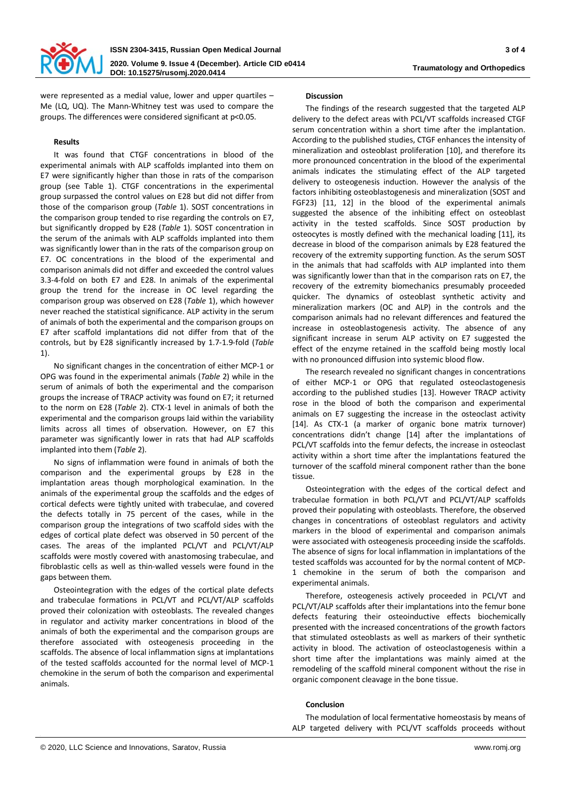

were represented as a medial value, lower and upper quartiles – Me (LQ, UQ). The Mann-Whitney test was used to compare the groups. The differences were considered significant at р<0.05.

# **Results**

It was found that CTGF concentrations in blood of the experimental animals with ALP scaffolds implanted into them on E7 were significantly higher than those in rats of the comparison group (see Table 1). CTGF concentrations in the experimental group surpassed the control values on E28 but did not differ from those of the comparison group (*Table* 1). SOST concentrations in the comparison group tended to rise regarding the controls on E7, but significantly dropped by E28 (*Table* 1). SOST concentration in the serum of the animals with ALP scaffolds implanted into them was significantly lower than in the rats of the comparison group on E7. OC concentrations in the blood of the experimental and comparison animals did not differ and exceeded the control values 3.3-4-fold on both E7 and E28. In animals of the experimental group the trend for the increase in OC level regarding the comparison group was observed on E28 (*Table* 1), which however never reached the statistical significance. ALP activity in the serum of animals of both the experimental and the comparison groups on E7 after scaffold implantations did not differ from that of the controls, but by E28 significantly increased by 1.7-1.9-fold (*Table*  1).

No significant changes in the concentration of either MCP-1 or OPG was found in the experimental animals (*Table* 2) while in the serum of animals of both the experimental and the comparison groups the increase of TRACP activity was found on E7; it returned to the norm on E28 (*Table* 2). CTX-1 level in animals of both the experimental and the comparison groups laid within the variability limits across all times of observation. However, on E7 this parameter was significantly lower in rats that had ALP scaffolds implanted into them (*Table* 2).

No signs of inflammation were found in animals of both the comparison and the experimental groups by E28 in the implantation areas though morphological examination. In the animals of the experimental group the scaffolds and the edges of cortical defects were tightly united with trabeculae, and covered the defects totally in 75 percent of the cases, while in the comparison group the integrations of two scaffold sides with the edges of cortical plate defect was observed in 50 percent of the cases. The areas of the implanted PCL/VT and PCL/VT/ALP scaffolds were mostly covered with anastomosing trabeculae, and fibroblastic cells as well as thin-walled vessels were found in the gaps between them.

Osteointegration with the edges of the cortical plate defects and trabeculae formations in PCL/VT and PCL/VT/ALP scaffolds proved their colonization with osteoblasts. The revealed changes in regulator and activity marker concentrations in blood of the animals of both the experimental and the comparison groups are therefore associated with osteogenesis proceeding in the scaffolds. The absence of local inflammation signs at implantations of the tested scaffolds accounted for the normal level of MCP-1 chemokine in the serum of both the comparison and experimental animals.

# **Discussion**

The findings of the research suggested that the targeted ALP delivery to the defect areas with PCL/VT scaffolds increased CTGF serum concentration within a short time after the implantation. According to the published studies, CTGF enhances the intensity of mineralization and osteoblast proliferation [10], and therefore its more pronounced concentration in the blood of the experimental animals indicates the stimulating effect of the ALP targeted delivery to osteogenesis induction. However the analysis of the factors inhibiting osteoblastogenesis and mineralization (SOST and FGF23) [11, 12] in the blood of the experimental animals suggested the absence of the inhibiting effect on osteoblast activity in the tested scaffolds. Since SOST production by osteocytes is mostly defined with the mechanical loading [11], its decrease in blood of the comparison animals by E28 featured the recovery of the extremity supporting function. As the serum SOST in the animals that had scaffolds with ALP implanted into them was significantly lower than that in the comparison rats on E7, the recovery of the extremity biomechanics presumably proceeded quicker. The dynamics of osteoblast synthetic activity and mineralization markers (OC and ALP) in the controls and the comparison animals had no relevant differences and featured the increase in osteoblastogenesis activity. The absence of any significant increase in serum ALP activity on E7 suggested the effect of the enzyme retained in the scaffold being mostly local with no pronounced diffusion into systemic blood flow.

The research revealed no significant changes in concentrations of either MCP-1 or OPG that regulated osteoclastogenesis according to the published studies [13]. However TRACP activity rose in the blood of both the comparison and experimental animals on E7 suggesting the increase in the osteoclast activity [14]. As CTX-1 (a marker of organic bone matrix turnover) concentrations didn't change [14] after the implantations of PCL/VT scaffolds into the femur defects, the increase in osteoclast activity within a short time after the implantations featured the turnover of the scaffold mineral component rather than the bone tissue.

Osteointegration with the edges of the cortical defect and trabeculae formation in both PCL/VT and PCL/VT/ALP scaffolds proved their populating with osteoblasts. Therefore, the observed changes in concentrations of osteoblast regulators and activity markers in the blood of experimental and comparison animals were associated with osteogenesis proceeding inside the scaffolds. The absence of signs for local inflammation in implantations of the tested scaffolds was accounted for by the normal content of MCP-1 chemokine in the serum of both the comparison and experimental animals.

Therefore, osteogenesis actively proceeded in PCL/VT and PCL/VT/ALP scaffolds after their implantations into the femur bone defects featuring their osteoinductive effects biochemically presented with the increased concentrations of the growth factors that stimulated osteoblasts as well as markers of their synthetic activity in blood. The activation of osteoclastogenesis within a short time after the implantations was mainly aimed at the remodeling of the scaffold mineral component without the rise in organic component cleavage in the bone tissue.

# **Conclusion**

The modulation of local fermentative homeostasis by means of ALP targeted delivery with PCL/VT scaffolds proceeds without